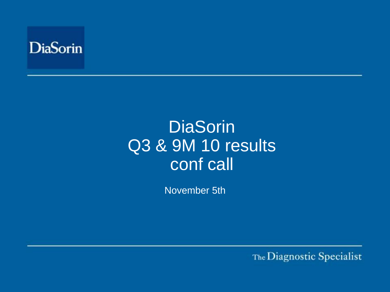

# **DiaSorin** Q3 & 9M 10 results conf call

November 5th

The Diagnostic Specialist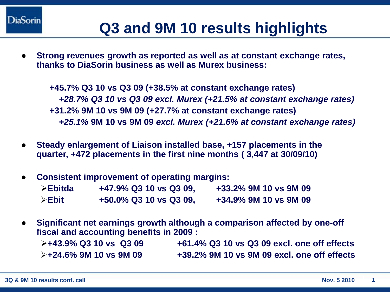# **Q3 and 9M 10 results highlights**

**Strong revenues growth as reported as well as at constant exchange rates, thanks to DiaSorin business as well as Murex business:**

**+45.7% Q3 10 vs Q3 09 (+38.5% at constant exchange rates)** *+28.7% Q3 10 vs Q3 09 excl. Murex (+21.5% at constant exchange rates)* **+31.2% 9M 10 vs 9M 09 (+27.7% at constant exchange rates)** *+25.1%* **9M 10 vs 9M 09** *excl. Murex (+21.6% at constant exchange rates)*

- **Steady enlargement of Liaison installed base, +157 placements in the quarter, +472 placements in the first nine months ( 3,447 at 30/09/10)**
- **Consistent improvement of operating margins:**

| $\triangleright$ Ebitda | +47.9% Q3 10 vs Q3 09, | +33.2% 9M 10 vs 9M 09 |
|-------------------------|------------------------|-----------------------|
| $\triangleright$ Ebit   | +50.0% Q3 10 vs Q3 09, | +34.9% 9M 10 vs 9M 09 |

**Significant net earnings growth although a comparison affected by one-off fiscal and accounting benefits in 2009 :** 

| $\triangleright$ +43.9% Q3 10 vs Q3 09 | +61.4% Q3 10 vs Q3 09 excl. one off effects |
|----------------------------------------|---------------------------------------------|
| $\triangleright$ +24.6% 9M 10 vs 9M 09 | +39.2% 9M 10 vs 9M 09 excl. one off effects |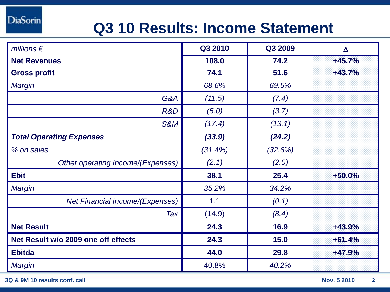# **Q3 10 Results: Income Statement**

| millions $\epsilon$                    | Q3 2010 | Q3 2009 | $\Delta$ |
|----------------------------------------|---------|---------|----------|
| <b>Net Revenues</b>                    | 108.0   | 74.2    | $+45.7%$ |
| <b>Gross profit</b>                    | 74.1    | 51.6    | $+43.7%$ |
| <b>Margin</b>                          | 68.6%   | 69.5%   |          |
| G&A                                    | (11.5)  | (7.4)   |          |
| R&D                                    | (5.0)   | (3.7)   |          |
| S&M                                    | (17.4)  | (13.1)  |          |
| <b>Total Operating Expenses</b>        | (33.9)  | (24.2)  |          |
| % on sales                             | (31.4%) | (32.6%) |          |
| Other operating Income/(Expenses)      | (2.1)   | (2.0)   |          |
| <b>Ebit</b>                            | 38.1    | 25.4    | $+50.0%$ |
| Margin                                 | 35.2%   | 34.2%   |          |
| <b>Net Financial Income/(Expenses)</b> | 1.1     | (0.1)   |          |
| Tax                                    | (14.9)  | (8.4)   |          |
| <b>Net Result</b>                      | 24.3    | 16.9    | $+43.9%$ |
| Net Result w/o 2009 one off effects    | 24.3    | 15.0    | $+61.4%$ |
| <b>Ebitda</b>                          | 44.0    | 29.8    | $+47.9%$ |
| <b>Margin</b>                          | 40.8%   | 40.2%   |          |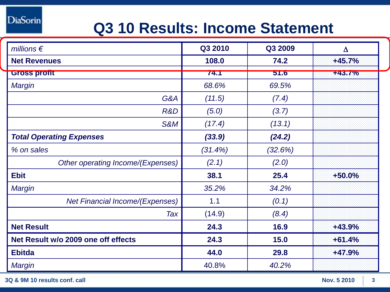# **Q3 10 Results: Income Statement**

| millions $\epsilon$                    | Q3 2010 | Q3 2009 | $\Delta$ |
|----------------------------------------|---------|---------|----------|
| <b>Net Revenues</b>                    | 108.0   | 74.2    | $+45.7%$ |
| <b>Gross pront</b>                     | 74.1    | 51.6    | +43.7%   |
| Margin                                 | 68.6%   | 69.5%   |          |
| G&A                                    | (11.5)  | (7.4)   |          |
| R&D                                    | (5.0)   | (3.7)   |          |
| S&M                                    | (17.4)  | (13.1)  |          |
| <b>Total Operating Expenses</b>        | (33.9)  | (24.2)  |          |
| % on sales                             | (31.4%) | (32.6%) |          |
| Other operating Income/(Expenses)      | (2.1)   | (2.0)   |          |
| <b>Ebit</b>                            | 38.1    | 25.4    | $+50.0%$ |
| Margin                                 | 35.2%   | 34.2%   |          |
| <b>Net Financial Income/(Expenses)</b> | 1.1     | (0.1)   |          |
| Tax                                    | (14.9)  | (8.4)   |          |
| <b>Net Result</b>                      | 24.3    | 16.9    | $+43.9%$ |
| Net Result w/o 2009 one off effects    | 24.3    | 15.0    | $+61.4%$ |
| <b>Ebitda</b>                          | 44.0    | 29.8    | $+47.9%$ |
| <b>Margin</b>                          | 40.8%   | 40.2%   |          |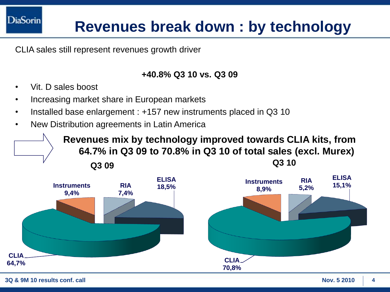# **Revenues break down : by technology**

CLIA sales still represent revenues growth driver

#### **+40.8% Q3 10 vs. Q3 09**

- Vit. D sales boost
- Increasing market share in European markets
- Installed base enlargement : +157 new instruments placed in Q3 10
- New Distribution agreements in Latin America

**Q3 Q3 10 09 Revenues mix by technology improved towards CLIA kits, from 64.7% in Q3 09 to 70.8% in Q3 10 of total sales (excl. Murex)** 

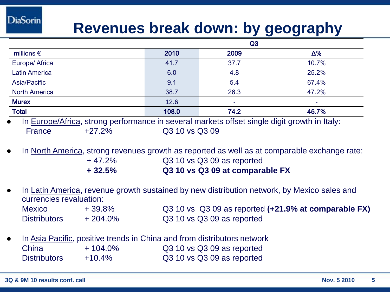### **Revenues break down: by geography**

|                                                                                             |       | Q3     |            |
|---------------------------------------------------------------------------------------------|-------|--------|------------|
| millions $\epsilon$                                                                         | 2010  | 2009   | $\Delta\%$ |
| Europe/ Africa                                                                              | 41.7  | 37.7   | 10.7%      |
| <b>Latin America</b>                                                                        | 6.0   | 4.8    | 25.2%      |
| Asia/Pacific                                                                                | 9.1   | 5.4    | 67.4%      |
| <b>North America</b>                                                                        | 38.7  | 26.3   | 47.2%      |
| <b>Murex</b>                                                                                | 12.6  | $\sim$ | ۰          |
| <b>Total</b>                                                                                | 108.0 | 74.2   | 45.7%      |
| In Europe/Africa, atrona performance in covaral merkate offect cinele digit arough in Italy |       |        |            |

In Europe/Africa, strong performance in several markets offset single digit growth in Italy: France +27.2% Q3 10 vs Q3 09

- In North America, strong revenues growth as reported as well as at comparable exchange rate: + 47.2% Q3 10 vs Q3 09 as reported **+ 32.5% Q3 10 vs Q3 09 at comparable FX**
- In Latin America, revenue growth sustained by new distribution network, by Mexico sales and currencies revaluation:

| <b>Mexico</b>       | +39.8%     | Q3 10 vs Q3 09 as reported (+21.9% at comparable FX) |
|---------------------|------------|------------------------------------------------------|
| <b>Distributors</b> | $+204.0\%$ | Q3 10 vs Q3 09 as reported                           |

In Asia Pacific, positive trends in China and from distributors network China + 104.0% Q3 10 vs Q3 09 as reported Distributors +10.4% Q3 10 vs Q3 09 as reported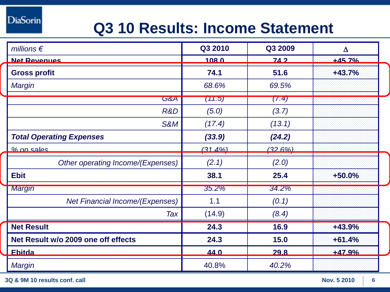# **Q3 10 Results: Income Statement**

| millions $\epsilon$                    | Q3 2010       | Q3 2009 | $\Delta$ |  |
|----------------------------------------|---------------|---------|----------|--|
| <b>Net Revenues</b>                    | <u> 108.0</u> | $742$   | $+457%$  |  |
| <b>Gross profit</b>                    | 74.1          | 51.6    | $+43.7%$ |  |
| Margin                                 | 68.6%         | 69.5%   |          |  |
| <b>G&amp;A</b>                         | (71.5)        | (7.4)   |          |  |
| R&D                                    | (5.0)         | (3.7)   |          |  |
| <b>S&amp;M</b>                         | (17.4)        | (13.1)  |          |  |
| <b>Total Operating Expenses</b>        | (33.9)        | (24.2)  |          |  |
| $%$ on sales                           | $(31, 4\%)$   | (32.6%) |          |  |
| Other operating Income/(Expenses)      | (2.1)         | (2.0)   |          |  |
| <b>Ebit</b>                            | 38.1          | 25.4    | $+50.0%$ |  |
| <b>Margin</b>                          | 35.2%         | 34.2%   |          |  |
| <b>Net Financial Income/(Expenses)</b> | 1.1           | (0.1)   |          |  |
| Tax                                    | (14.9)        | (8.4)   |          |  |
| <b>Net Result</b>                      | 24.3          | 16.9    | $+43.9%$ |  |
| Net Result w/o 2009 one off effects    | 24.3          | 15.0    | $+61.4%$ |  |
| <b>Ebitda</b>                          | 44.0          | 29.8    | $+47.9%$ |  |
| Margin                                 | 40.8%         | 40.2%   |          |  |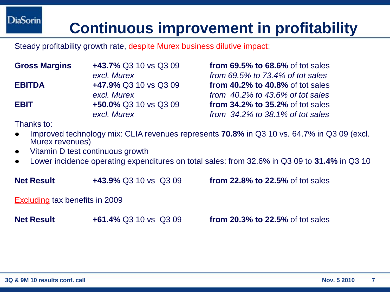# **Continuous improvement in profitability**

Steady profitability growth rate, despite Murex business dilutive impact:

| <b>Gross Margins</b> | +43.7% Q3 10 vs Q3 09 |
|----------------------|-----------------------|
|                      | excl. Murex           |
| <b>EBITDA</b>        | +47.9% Q3 10 vs Q3 09 |
|                      | excl. Murex           |
| <b>EBIT</b>          | +50.0% Q3 10 vs Q3 09 |
|                      | excl. Murex           |

**from 69.5% to 68.6% of tot sales** *excl. Murex from 69.5% to 73.4% of tot sales* **from 40.2% to 40.8% of tot sales** *excl. Murex from 40.2% to 43.6% of tot sales* **from 34.2% to 35.2% of tot sales** *excl. Murex from 34.2% to 38.1% of tot sales*

Thanks to:

- Improved technology mix: CLIA revenues represents **70.8%** in Q3 10 vs. 64.7% in Q3 09 (excl. Murex revenues)
- Vitamin D test continuous growth
- Lower incidence operating expenditures on total sales: from 32.6% in Q3 09 to **31.4%** in Q3 10

**Net Result +43.9%** Q3 10 vs Q3 09 **from 22.8% to 22.5%** of tot sales

Excluding tax benefits in 2009

**Net Result +61.4%** Q3 10 vs Q3 09 **from 20.3% to 22.5%** of tot sales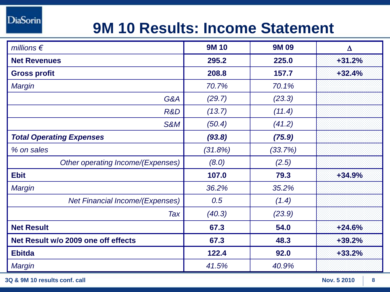# **9M 10 Results: Income Statement**

| millions $\epsilon$                    | <b>9M10</b> | <b>9M09</b> | $\Delta$ |
|----------------------------------------|-------------|-------------|----------|
| <b>Net Revenues</b>                    | 295.2       | 225.0       | $+31.2%$ |
| <b>Gross profit</b>                    | 208.8       | 157.7       | $+32.4%$ |
| <b>Margin</b>                          | 70.7%       | 70.1%       |          |
| G&A                                    | (29.7)      | (23.3)      |          |
| R&D                                    | (13.7)      | (11.4)      |          |
| <b>S&amp;M</b>                         | (50.4)      | (41.2)      |          |
| <b>Total Operating Expenses</b>        | (93.8)      | (75.9)      |          |
| % on sales                             | (31.8%)     | (33.7%)     |          |
| Other operating Income/(Expenses)      | (8.0)       | (2.5)       |          |
| <b>Ebit</b>                            | 107.0       | 79.3        | +34.9%   |
| Margin                                 | 36.2%       | 35.2%       |          |
| <b>Net Financial Income/(Expenses)</b> | 0.5         | (1.4)       |          |
| Tax                                    | (40.3)      | (23.9)      |          |
| <b>Net Result</b>                      | 67.3        | 54.0        | $+24.6%$ |
| Net Result w/o 2009 one off effects    | 67.3        | 48.3        | +39.2%   |
| <b>Ebitda</b>                          | 122.4       | 92.0        | $+33.2%$ |
| Margin                                 | 41.5%       | 40.9%       |          |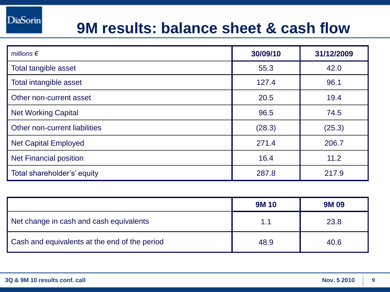#### **9M results: balance sheet & cash flow**

| millions $\epsilon$           | 30/09/10 | 31/12/2009 |
|-------------------------------|----------|------------|
| Total tangible asset          | 55.3     | 42.0       |
| Total intangible asset        | 127.4    | 96.1       |
| Other non-current asset       | 20.5     | 19.4       |
| <b>Net Working Capital</b>    | 96.5     | 74.5       |
| Other non-current liabilities | (28.3)   | (25.3)     |
| <b>Net Capital Employed</b>   | 271.4    | 206.7      |
| <b>Net Financial position</b> | 16.4     | 11.2       |
| Total shareholder's' equity   | 287.8    | 217.9      |

|                                               | <b>9M10</b> | <b>9M09</b> |
|-----------------------------------------------|-------------|-------------|
| Net change in cash and cash equivalents       | 1.1         | 23.8        |
| Cash and equivalents at the end of the period | 48.9        | 40.6        |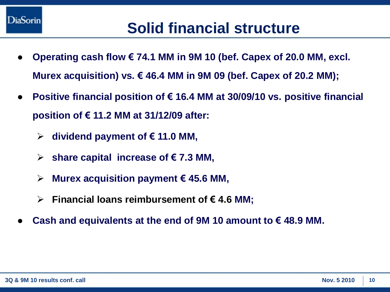

- **Operating cash flow € 74.1 MM in 9M 10 (bef. Capex of 20.0 MM, excl. Murex acquisition) vs. € 46.4 MM in 9M 09 (bef. Capex of 20.2 MM);**
- **Positive financial position of € 16.4 MM at 30/09/10 vs. positive financial position of € 11.2 MM at 31/12/09 after:**
	- **dividend payment of € 11.0 MM,**
	- **share capital increase of € 7.3 MM,**
	- **Murex acquisition payment € 45.6 MM,**
	- **Financial loans reimbursement of € 4.6 MM;**
- Cash and equivalents at the end of 9M 10 amount to  $€$  48.9 MM.